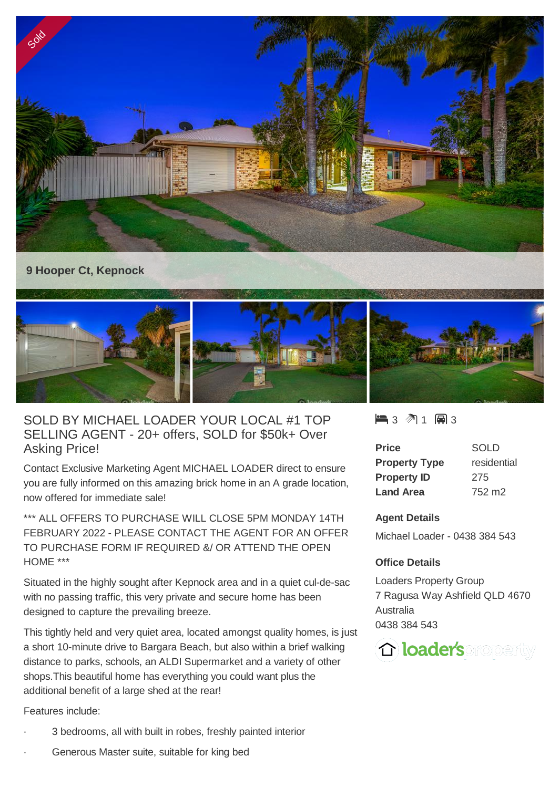

## **9 Hooper Ct, Kepnock**



# SOLD BY MICHAEL LOADER YOUR LOCAL #1 TOP SELLING AGENT - 20+ offers, SOLD for \$50k+ Over Asking Price!

Contact Exclusive Marketing Agent MICHAEL LOADER direct to ensure you are fully informed on this amazing brick home in an A grade location, now offered for immediate sale!

\*\*\* ALL OFFERS TO PURCHASE WILL CLOSE 5PM MONDAY 14TH FEBRUARY 2022 - PLEASE CONTACT THE AGENT FOR AN OFFER TO PURCHASE FORM IF REQUIRED &/ OR ATTEND THE OPEN HOME \*\*\*

Situated in the highly sought after Kepnock area and in a quiet cul-de-sac with no passing traffic, this very private and secure home has been designed to capture the prevailing breeze.

This tightly held and very quiet area, located amongst quality homes, is just a short 10-minute drive to Bargara Beach, but also within a brief walking distance to parks, schools, an ALDI Supermarket and a variety of other shops.This beautiful home has everything you could want plus the additional benefit of a large shed at the rear!

Features include:

- 3 bedrooms, all with built in robes, freshly painted interior
- Generous Master suite, suitable for king bed

 $\blacksquare$  3  $\blacksquare$  1  $\blacksquare$  3

| Price                | SOLD               |
|----------------------|--------------------|
| <b>Property Type</b> | residential        |
| <b>Property ID</b>   | 275                |
| <b>Land Area</b>     | 752 m <sub>2</sub> |

#### **Agent Details**

Michael Loader - 0438 384 543

### **Office Details**

Loaders Property Group 7 Ragusa Way Ashfield QLD 4670 Australia 0438 384 543

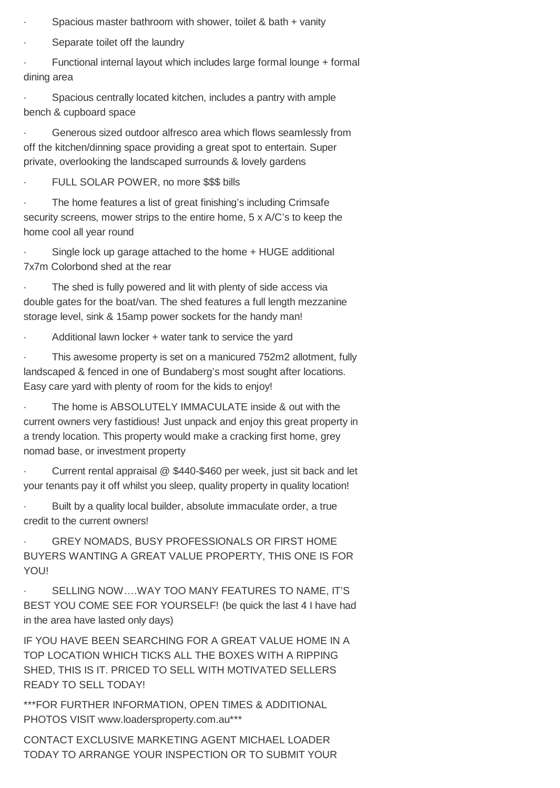- Spacious master bathroom with shower, toilet & bath + vanity
- Separate toilet off the laundry

Functional internal layout which includes large formal lounge + formal dining area

Spacious centrally located kitchen, includes a pantry with ample bench & cupboard space

Generous sized outdoor alfresco area which flows seamlessly from off the kitchen/dinning space providing a great spot to entertain. Super private, overlooking the landscaped surrounds & lovely gardens

FULL SOLAR POWER, no more \$\$\$ bills

The home features a list of great finishing's including Crimsafe security screens, mower strips to the entire home, 5 x A/C's to keep the home cool all year round

Single lock up garage attached to the home + HUGE additional 7x7m Colorbond shed at the rear

The shed is fully powered and lit with plenty of side access via double gates for the boat/van. The shed features a full length mezzanine storage level, sink & 15amp power sockets for the handy man!

Additional lawn locker + water tank to service the yard

This awesome property is set on a manicured 752m2 allotment, fully landscaped & fenced in one of Bundaberg's most sought after locations. Easy care yard with plenty of room for the kids to enjoy!

The home is ABSOLUTELY IMMACULATE inside & out with the current owners very fastidious! Just unpack and enjoy this great property in a trendy location. This property would make a cracking first home, grey nomad base, or investment property

Current rental appraisal @ \$440-\$460 per week, just sit back and let your tenants pay it off whilst you sleep, quality property in quality location!

· Built by a quality local builder, absolute immaculate order, a true credit to the current owners!

GREY NOMADS, BUSY PROFESSIONALS OR FIRST HOME BUYERS WANTING A GREAT VALUE PROPERTY, THIS ONE IS FOR YOU!

SELLING NOW....WAY TOO MANY FEATURES TO NAME, IT'S BEST YOU COME SEE FOR YOURSELF! (be quick the last 4 I have had in the area have lasted only days)

IF YOU HAVE BEEN SEARCHING FOR A GREAT VALUE HOME IN A TOP LOCATION WHICH TICKS ALL THE BOXES WITH A RIPPING SHED, THIS IS IT. PRICED TO SELL WITH MOTIVATED SELLERS READY TO SELL TODAY!

\*\*\*FOR FURTHER INFORMATION, OPEN TIMES & ADDITIONAL PHOTOS VISIT www.loadersproperty.com.au\*\*\*

CONTACT EXCLUSIVE MARKETING AGENT MICHAEL LOADER TODAY TO ARRANGE YOUR INSPECTION OR TO SUBMIT YOUR